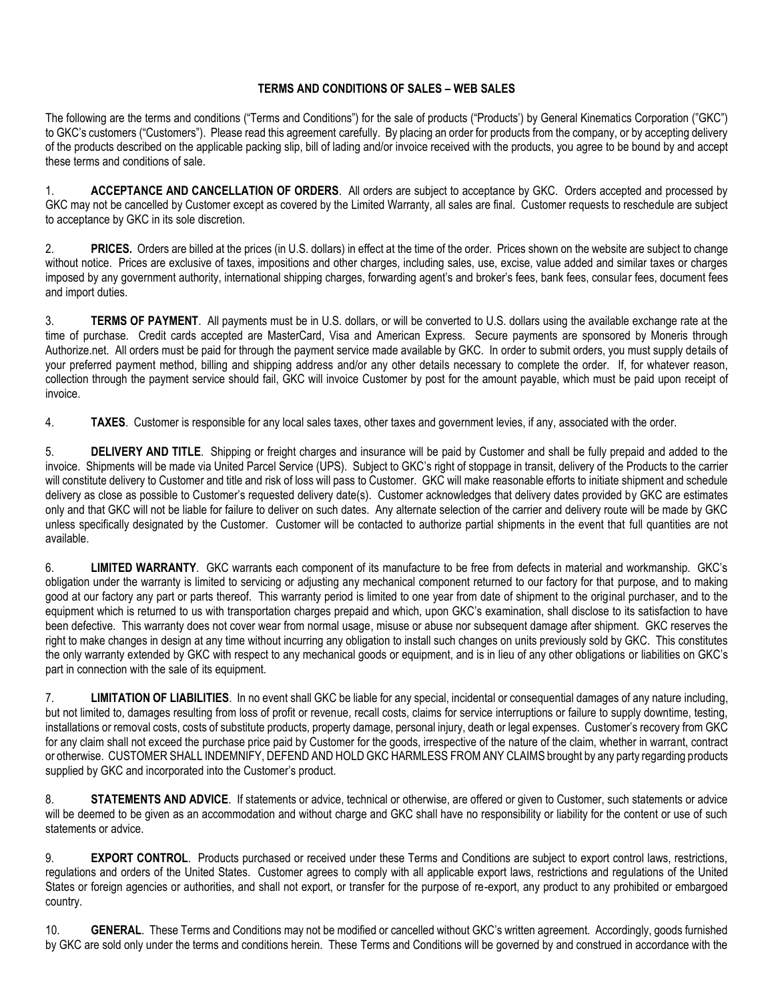## **TERMS AND CONDITIONS OF SALES – WEB SALES**

The following are the terms and conditions ("Terms and Conditions") for the sale of products ("Products') by General Kinematics Corporation ("GKC") to GKC's customers ("Customers"). Please read this agreement carefully. By placing an order for products from the company, or by accepting delivery of the products described on the applicable packing slip, bill of lading and/or invoice received with the products, you agree to be bound by and accept these terms and conditions of sale.

1. **ACCEPTANCE AND CANCELLATION OF ORDERS**. All orders are subject to acceptance by GKC. Orders accepted and processed by GKC may not be cancelled by Customer except as covered by the Limited Warranty, all sales are final. Customer requests to reschedule are subject to acceptance by GKC in its sole discretion.

2. **PRICES.** Orders are billed at the prices (in U.S. dollars) in effect at the time of the order. Prices shown on the website are subject to change without notice. Prices are exclusive of taxes, impositions and other charges, including sales, use, excise, value added and similar taxes or charges imposed by any government authority, international shipping charges, forwarding agent's and broker's fees, bank fees, consular fees, document fees and import duties.

3. **TERMS OF PAYMENT**. All payments must be in U.S. dollars, or will be converted to U.S. dollars using the available exchange rate at the time of purchase. Credit cards accepted are MasterCard, Visa and American Express. Secure payments are sponsored by Moneris through Authorize.net. All orders must be paid for through the payment service made available by GKC. In order to submit orders, you must supply details of your preferred payment method, billing and shipping address and/or any other details necessary to complete the order. If, for whatever reason, collection through the payment service should fail, GKC will invoice Customer by post for the amount payable, which must be paid upon receipt of invoice.

4. **TAXES**. Customer is responsible for any local sales taxes, other taxes and government levies, if any, associated with the order.

5. **DELIVERY AND TITLE**. Shipping or freight charges and insurance will be paid by Customer and shall be fully prepaid and added to the invoice. Shipments will be made via United Parcel Service (UPS). Subject to GKC's right of stoppage in transit, delivery of the Products to the carrier will constitute delivery to Customer and title and risk of loss will pass to Customer. GKC will make reasonable efforts to initiate shipment and schedule delivery as close as possible to Customer's requested delivery date(s). Customer acknowledges that delivery dates provided by GKC are estimates only and that GKC will not be liable for failure to deliver on such dates. Any alternate selection of the carrier and delivery route will be made by GKC unless specifically designated by the Customer. Customer will be contacted to authorize partial shipments in the event that full quantities are not available.

6. **LIMITED WARRANTY**. GKC warrants each component of its manufacture to be free from defects in material and workmanship. GKC's obligation under the warranty is limited to servicing or adjusting any mechanical component returned to our factory for that purpose, and to making good at our factory any part or parts thereof. This warranty period is limited to one year from date of shipment to the original purchaser, and to the equipment which is returned to us with transportation charges prepaid and which, upon GKC's examination, shall disclose to its satisfaction to have been defective. This warranty does not cover wear from normal usage, misuse or abuse nor subsequent damage after shipment. GKC reserves the right to make changes in design at any time without incurring any obligation to install such changes on units previously sold by GKC. This constitutes the only warranty extended by GKC with respect to any mechanical goods or equipment, and is in lieu of any other obligations or liabilities on GKC's part in connection with the sale of its equipment.

7. **LIMITATION OF LIABILITIES**. In no event shall GKC be liable for any special, incidental or consequential damages of any nature including, but not limited to, damages resulting from loss of profit or revenue, recall costs, claims for service interruptions or failure to supply downtime, testing, installations or removal costs, costs of substitute products, property damage, personal injury, death or legal expenses. Customer's recovery from GKC for any claim shall not exceed the purchase price paid by Customer for the goods, irrespective of the nature of the claim, whether in warrant, contract or otherwise. CUSTOMER SHALL INDEMNIFY, DEFEND AND HOLD GKC HARMLESS FROM ANY CLAIMS brought by any party regarding products supplied by GKC and incorporated into the Customer's product.

8. **STATEMENTS AND ADVICE**. If statements or advice, technical or otherwise, are offered or given to Customer, such statements or advice will be deemed to be given as an accommodation and without charge and GKC shall have no responsibility or liability for the content or use of such statements or advice.

9. **EXPORT CONTROL**. Products purchased or received under these Terms and Conditions are subject to export control laws, restrictions, regulations and orders of the United States. Customer agrees to comply with all applicable export laws, restrictions and regulations of the United States or foreign agencies or authorities, and shall not export, or transfer for the purpose of re-export, any product to any prohibited or embargoed country.

10. **GENERAL**. These Terms and Conditions may not be modified or cancelled without GKC's written agreement. Accordingly, goods furnished by GKC are sold only under the terms and conditions herein. These Terms and Conditions will be governed by and construed in accordance with the